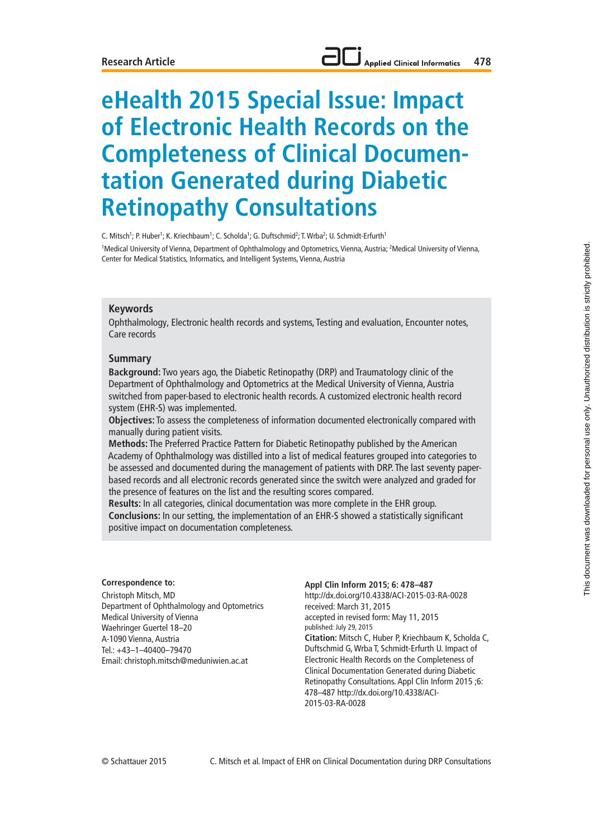#### **Applied Clinical Informatics 478**

# **eHealth 2015 Special Issue: Impact of Electronic Health Records on the Completeness of Clinical Documentation Generated during Diabetic Retinopathy Consultations**

C. Mitsch<sup>1</sup>; P. Huber<sup>1</sup>; K. Kriechbaum<sup>1</sup>; C. Scholda<sup>1</sup>; G. Duftschmid<sup>2</sup>; T. Wrba<sup>2</sup>; U. Schmidt-Erfurth<sup>1</sup> <sup>1</sup>Medical University of Vienna, Department of Ophthalmology and Optometrics, Vienna, Austria; <sup>2</sup>Medical University of Vienna, Center for Medical Statistics, Informatics, and Intelligent Systems, Vienna, Austria

## **Keywords**

Ophthalmology, Electronic health records and systems, Testing and evaluation, Encounter notes, Care records

## **Summary**

**Background:** Two years ago, the Diabetic Retinopathy (DRP) and Traumatology clinic of the Department of Ophthalmology and Optometrics at the Medical University of Vienna, Austria switched from paper-based to electronic health records. A customized electronic health record system (EHR-S) was implemented.

**Objectives:** To assess the completeness of information documented electronically compared with manually during patient visits.

**Methods:** The Preferred Practice Pattern for Diabetic Retinopathy published by the American Academy of Ophthalmology was distilled into a list of medical features grouped into categories to be assessed and documented during the management of patients with DRP. The last seventy paperbased records and all electronic records generated since the switch were analyzed and graded for the presence of features on the list and the resulting scores compared.

**Results:** In all categories, clinical documentation was more complete in the EHR group. **Conclusions:** In our setting, the implementation of an EHR-S showed a statistically significant positive impact on documentation completeness.

#### **Correspondence to:**

Christoph Mitsch, MD Department of Ophthalmology and Optometrics Medical University of Vienna Waehringer Guertel 18–20 A-1090 Vienna, Austria Tel.: +43–1–40400–79470 Email: christoph.mitsch@meduniwien.ac.at

#### **Appl Clin Inform 2015; 6: 478–487**

http://dx.doi.org/10.4338/ACI-2015-03-RA-0028 received: March 31, 2015 accepted in revised form: May 11, 2015 published: July 29, 2015 **Citation:** Mitsch C, Huber P, Kriechbaum K, Scholda C, Duftschmid G, Wrba T, Schmidt-Erfurth U. Impact of Electronic Health Records on the Completeness of Clinical Documentation Generated during Diabetic Retinopathy Consultations. Appl Clin Inform 2015 ;6: 478–487 http://dx.doi.org/10.4338/ACI-2015-03-RA-0028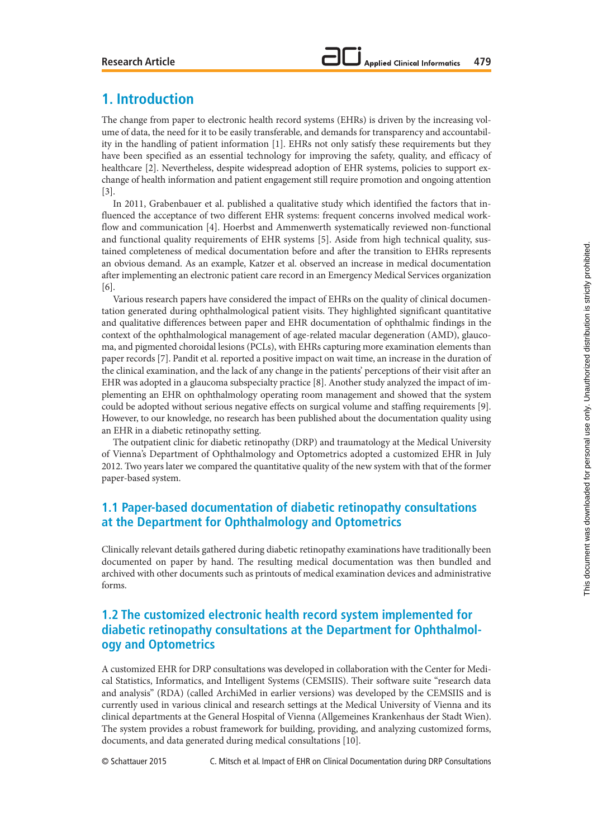## **1. Introduction**

The change from paper to electronic health record systems (EHRs) is driven by the increasing volume of data, the need for it to be easily transferable, and demands for transparency and accountability in the handling of patient information [1]. EHRs not only satisfy these requirements but they have been specified as an essential technology for improving the safety, quality, and efficacy of healthcare [2]. Nevertheless, despite widespread adoption of EHR systems, policies to support exchange of health information and patient engagement still require promotion and ongoing attention [3].

In 2011, Grabenbauer et al. published a qualitative study which identified the factors that influenced the acceptance of two different EHR systems: frequent concerns involved medical workflow and communication [4]. Hoerbst and Ammenwerth systematically reviewed non-functional and functional quality requirements of EHR systems [5]. Aside from high technical quality, sustained completeness of medical documentation before and after the transition to EHRs represents an obvious demand. As an example, Katzer et al. observed an increase in medical documentation after implementing an electronic patient care record in an Emergency Medical Services organization [6].

Various research papers have considered the impact of EHRs on the quality of clinical documentation generated during ophthalmological patient visits. They highlighted significant quantitative and qualitative differences between paper and EHR documentation of ophthalmic findings in the context of the ophthalmological management of age-related macular degeneration (AMD), glaucoma, and pigmented choroidal lesions (PCLs), with EHRs capturing more examination elements than paper records [7]. Pandit et al. reported a positive impact on wait time, an increase in the duration of the clinical examination, and the lack of any change in the patients' perceptions of their visit after an EHR was adopted in a glaucoma subspecialty practice [8]. Another study analyzed the impact of implementing an EHR on ophthalmology operating room management and showed that the system could be adopted without serious negative effects on surgical volume and staffing requirements [9]. However, to our knowledge, no research has been published about the documentation quality using an EHR in a diabetic retinopathy setting.

The outpatient clinic for diabetic retinopathy (DRP) and traumatology at the Medical University of Vienna's Department of Ophthalmology and Optometrics adopted a customized EHR in July 2012. Two years later we compared the quantitative quality of the new system with that of the former paper-based system.

## **1.1 Paper-based documentation of diabetic retinopathy consultations at the Department for Ophthalmology and Optometrics**

Clinically relevant details gathered during diabetic retinopathy examinations have traditionally been documented on paper by hand. The resulting medical documentation was then bundled and archived with other documents such as printouts of medical examination devices and administrative forms.

## **1.2 The customized electronic health record system implemented for diabetic retinopathy consultations at the Department for Ophthalmology and Optometrics**

A customized EHR for DRP consultations was developed in collaboration with the Center for Medical Statistics, Informatics, and Intelligent Systems (CEMSIIS). Their software suite "research data and analysis" (RDA) (called ArchiMed in earlier versions) was developed by the CEMSIIS and is currently used in various clinical and research settings at the Medical University of Vienna and its clinical departments at the General Hospital of Vienna (Allgemeines Krankenhaus der Stadt Wien). The system provides a robust framework for building, providing, and analyzing customized forms, documents, and data generated during medical consultations [10].

© Schattauer 2015

C. Mitsch et al. Impact of EHR on Clinical Documentation during DRP Consultations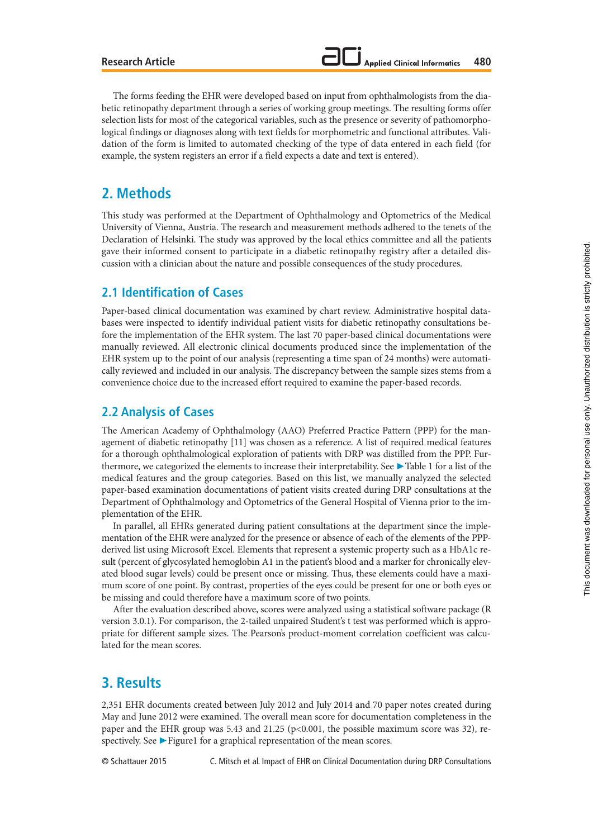The forms feeding the EHR were developed based on input from ophthalmologists from the diabetic retinopathy department through a series of working group meetings. The resulting forms offer selection lists for most of the categorical variables, such as the presence or severity of pathomorphological findings or diagnoses along with text fields for morphometric and functional attributes. Validation of the form is limited to automated checking of the type of data entered in each field (for example, the system registers an error if a field expects a date and text is entered).

# **2. Methods**

This study was performed at the Department of Ophthalmology and Optometrics of the Medical University of Vienna, Austria. The research and measurement methods adhered to the tenets of the Declaration of Helsinki. The study was approved by the local ethics committee and all the patients gave their informed consent to participate in a diabetic retinopathy registry after a detailed discussion with a clinician about the nature and possible consequences of the study procedures.

## **2.1 Identification of Cases**

Paper-based clinical documentation was examined by chart review. Administrative hospital databases were inspected to identify individual patient visits for diabetic retinopathy consultations before the implementation of the EHR system. The last 70 paper-based clinical documentations were manually reviewed. All electronic clinical documents produced since the implementation of the EHR system up to the point of our analysis (representing a time span of 24 months) were automatically reviewed and included in our analysis. The discrepancy between the sample sizes stems from a convenience choice due to the increased effort required to examine the paper-based records.

## **2.2 Analysis of Cases**

The American Academy of Ophthalmology (AAO) Preferred Practice Pattern (PPP) for the management of diabetic retinopathy [11] was chosen as a reference. A list of required medical features for a thorough ophthalmological exploration of patients with DRP was distilled from the PPP. Furthermore, we categorized the elements to increase their interpretability. See ▶ Table 1 for a list of the medical features and the group categories. Based on this list, we manually analyzed the selected paper-based examination documentations of patient visits created during DRP consultations at the Department of Ophthalmology and Optometrics of the General Hospital of Vienna prior to the implementation of the EHR.

In parallel, all EHRs generated during patient consultations at the department since the implementation of the EHR were analyzed for the presence or absence of each of the elements of the PPPderived list using Microsoft Excel. Elements that represent a systemic property such as a HbA1c result (percent of glycosylated hemoglobin A1 in the patient's blood and a marker for chronically elevated blood sugar levels) could be present once or missing. Thus, these elements could have a maximum score of one point. By contrast, properties of the eyes could be present for one or both eyes or be missing and could therefore have a maximum score of two points.

After the evaluation described above, scores were analyzed using a statistical software package (R version 3.0.1). For comparison, the 2-tailed unpaired Student's t test was performed which is appropriate for different sample sizes. The Pearson's product-moment correlation coefficient was calculated for the mean scores.

# **3. Results**

2,351 EHR documents created between July 2012 and July 2014 and 70 paper notes created during May and June 2012 were examined. The overall mean score for documentation completeness in the paper and the EHR group was 5.43 and 21.25 (p<0.001, the possible maximum score was 32), respectively. See ▶ Figure1 for a graphical representation of the mean scores.

© Schattauer 2015

C. Mitsch et al. Impact of EHR on Clinical Documentation during DRP Consultations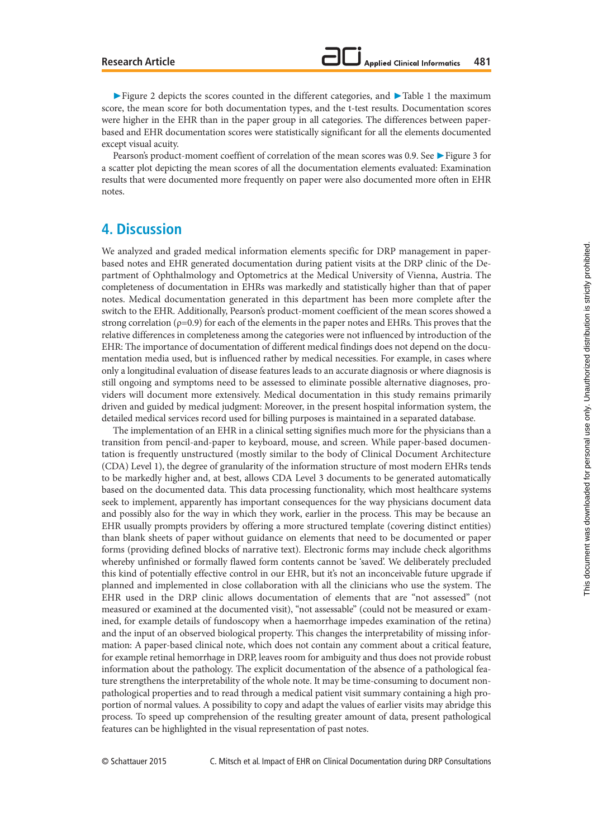▶ Figure 2 depicts the scores counted in the different categories, and ▶ Table 1 the maximum score, the mean score for both documentation types, and the t-test results. Documentation scores were higher in the EHR than in the paper group in all categories. The differences between paperbased and EHR documentation scores were statistically significant for all the elements documented except visual acuity.

Pearson's product-moment coeffient of correlation of the mean scores was 0.9. See ▶ Figure 3 for a scatter plot depicting the mean scores of all the documentation elements evaluated: Examination results that were documented more frequently on paper were also documented more often in EHR notes.

## **4. Discussion**

We analyzed and graded medical information elements specific for DRP management in paperbased notes and EHR generated documentation during patient visits at the DRP clinic of the Department of Ophthalmology and Optometrics at the Medical University of Vienna, Austria. The completeness of documentation in EHRs was markedly and statistically higher than that of paper notes. Medical documentation generated in this department has been more complete after the switch to the EHR. Additionally, Pearson's product-moment coefficient of the mean scores showed a strong correlation ( $\rho$ =0.9) for each of the elements in the paper notes and EHRs. This proves that the relative differences in completeness among the categories were not influenced by introduction of the EHR: The importance of documentation of different medical findings does not depend on the documentation media used, but is influenced rather by medical necessities. For example, in cases where only a longitudinal evaluation of disease features leads to an accurate diagnosis or where diagnosis is still ongoing and symptoms need to be assessed to eliminate possible alternative diagnoses, providers will document more extensively. Medical documentation in this study remains primarily driven and guided by medical judgment: Moreover, in the present hospital information system, the detailed medical services record used for billing purposes is maintained in a separated database.

The implementation of an EHR in a clinical setting signifies much more for the physicians than a transition from pencil-and-paper to keyboard, mouse, and screen. While paper-based documentation is frequently unstructured (mostly similar to the body of Clinical Document Architecture (CDA) Level 1), the degree of granularity of the information structure of most modern EHRs tends to be markedly higher and, at best, allows CDA Level 3 documents to be generated automatically based on the documented data. This data processing functionality, which most healthcare systems seek to implement, apparently has important consequences for the way physicians document data and possibly also for the way in which they work, earlier in the process. This may be because an EHR usually prompts providers by offering a more structured template (covering distinct entities) than blank sheets of paper without guidance on elements that need to be documented or paper forms (providing defined blocks of narrative text). Electronic forms may include check algorithms whereby unfinished or formally flawed form contents cannot be 'saved'. We deliberately precluded this kind of potentially effective control in our EHR, but it's not an inconceivable future upgrade if planned and implemented in close collaboration with all the clinicians who use the system. The EHR used in the DRP clinic allows documentation of elements that are "not assessed" (not measured or examined at the documented visit), "not assessable" (could not be measured or examined, for example details of fundoscopy when a haemorrhage impedes examination of the retina) and the input of an observed biological property. This changes the interpretability of missing information: A paper-based clinical note, which does not contain any comment about a critical feature, for example retinal hemorrhage in DRP, leaves room for ambiguity and thus does not provide robust information about the pathology. The explicit documentation of the absence of a pathological feature strengthens the interpretability of the whole note. It may be time-consuming to document nonpathological properties and to read through a medical patient visit summary containing a high proportion of normal values. A possibility to copy and adapt the values of earlier visits may abridge this process. To speed up comprehension of the resulting greater amount of data, present pathological features can be highlighted in the visual representation of past notes.

C. Mitsch et al. Impact of EHR on Clinical Documentation during DRP Consultations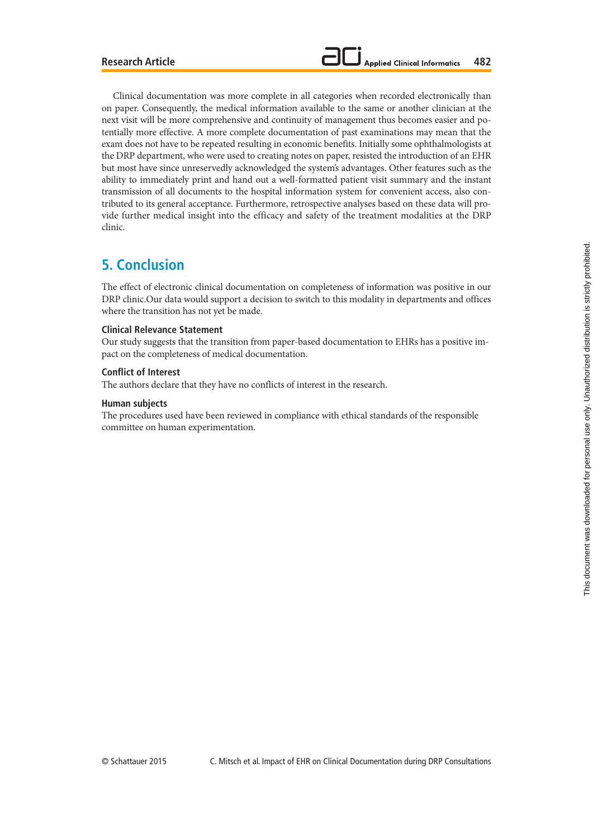Clinical documentation was more complete in all categories when recorded electronically than on paper. Consequently, the medical information available to the same or another clinician at the next visit will be more comprehensive and continuity of management thus becomes easier and potentially more effective. A more complete documentation of past examinations may mean that the exam does not have to be repeated resulting in economic benefits. Initially some ophthalmologists at the DRP department, who were used to creating notes on paper, resisted the introduction of an EHR but most have since unreservedly acknowledged the system's advantages. Other features such as the ability to immediately print and hand out a well-formatted patient visit summary and the instant transmission of all documents to the hospital information system for convenient access, also contributed to its general acceptance. Furthermore, retrospective analyses based on these data will provide further medical insight into the efficacy and safety of the treatment modalities at the DRP clinic.

# **5. Conclusion**

The effect of electronic clinical documentation on completeness of information was positive in our DRP clinic.Our data would support a decision to switch to this modality in departments and offices where the transition has not yet be made.

### **Clinical Relevance Statement**

Our study suggests that the transition from paper-based documentation to EHRs has a positive impact on the completeness of medical documentation.

### **Conflict of Interest**

The authors declare that they have no conflicts of interest in the research.

### **Human subjects**

The procedures used have been reviewed in compliance with ethical standards of the responsible committee on human experimentation.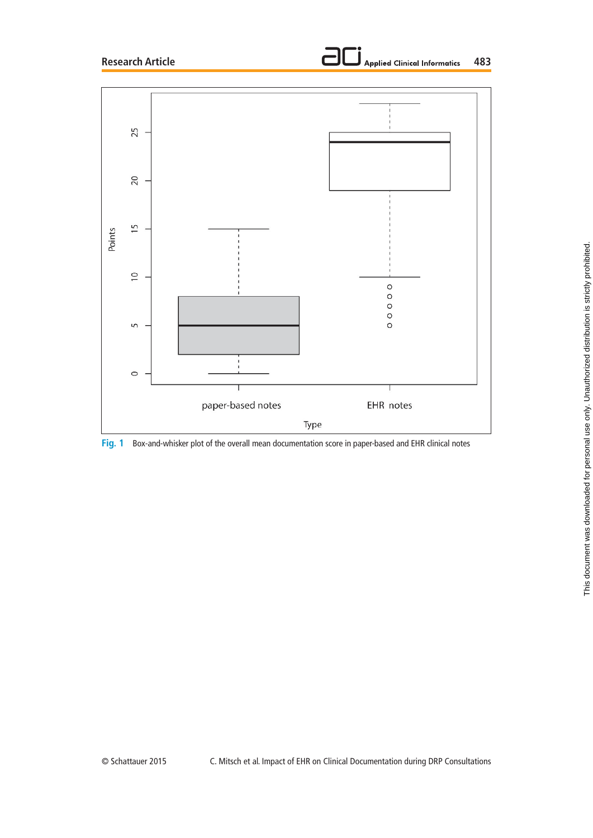



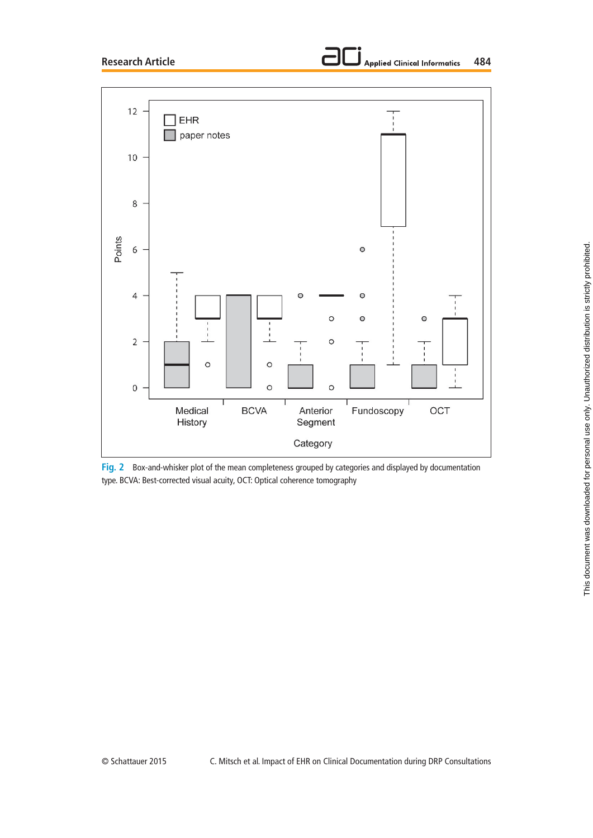



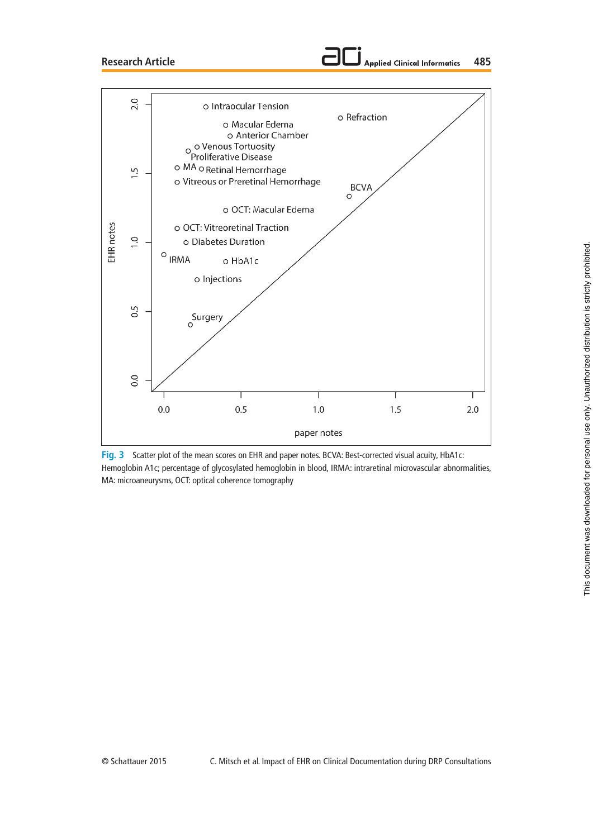**Research Article**



**Fig. 3** Scatter plot of the mean scores on EHR and paper notes. BCVA: Best-corrected visual acuity, HbA1c: Hemoglobin A1c; percentage of glycosylated hemoglobin in blood, IRMA: intraretinal microvascular abnormalities, MA: microaneurysms, OCT: optical coherence tomography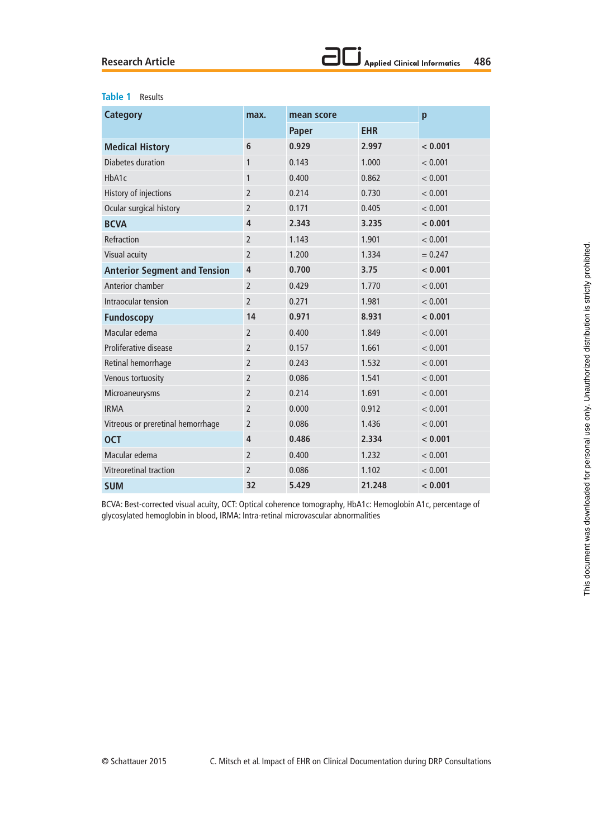## **Research Article**

## **Table 1** Results

| <b>Category</b>                     | max.                    | mean score |            | p         |
|-------------------------------------|-------------------------|------------|------------|-----------|
|                                     |                         | Paper      | <b>EHR</b> |           |
| <b>Medical History</b>              | 6                       | 0.929      | 2.997      | < 0.001   |
| Diabetes duration                   | 1                       | 0.143      | 1.000      | < 0.001   |
| HbA1c                               | 1                       | 0.400      | 0.862      | < 0.001   |
| History of injections               | $\overline{2}$          | 0.214      | 0.730      | < 0.001   |
| Ocular surgical history             | $\overline{2}$          | 0.171      | 0.405      | < 0.001   |
| <b>BCVA</b>                         | 4                       | 2.343      | 3.235      | < 0.001   |
| Refraction                          | $\overline{2}$          | 1.143      | 1.901      | < 0.001   |
| Visual acuity                       | $\overline{2}$          | 1.200      | 1.334      | $= 0.247$ |
| <b>Anterior Segment and Tension</b> | $\overline{\mathbf{4}}$ | 0.700      | 3.75       | < 0.001   |
| Anterior chamber                    | $\overline{2}$          | 0.429      | 1.770      | < 0.001   |
| Intraocular tension                 | $\overline{2}$          | 0.271      | 1.981      | < 0.001   |
| <b>Fundoscopy</b>                   | 14                      | 0.971      | 8.931      | < 0.001   |
| Macular edema                       | $\overline{2}$          | 0.400      | 1.849      | < 0.001   |
| Proliferative disease               | $\overline{2}$          | 0.157      | 1.661      | < 0.001   |
| Retinal hemorrhage                  | $\overline{2}$          | 0.243      | 1.532      | < 0.001   |
| Venous tortuosity                   | $\overline{2}$          | 0.086      | 1.541      | < 0.001   |
| Microaneurysms                      | $\overline{2}$          | 0.214      | 1.691      | < 0.001   |
| <b>IRMA</b>                         | $\overline{2}$          | 0.000      | 0.912      | < 0.001   |
| Vitreous or preretinal hemorrhage   | $\overline{2}$          | 0.086      | 1.436      | < 0.001   |
| <b>OCT</b>                          | 4                       | 0.486      | 2.334      | < 0.001   |
| Macular edema                       | 2                       | 0.400      | 1.232      | < 0.001   |
| Vitreoretinal traction              | $\overline{2}$          | 0.086      | 1.102      | < 0.001   |
| <b>SUM</b>                          | 32                      | 5.429      | 21.248     | < 0.001   |

BCVA: Best-corrected visual acuity, OCT: Optical coherence tomography, HbA1c: Hemoglobin A1c, percentage of glycosylated hemoglobin in blood, IRMA: Intra-retinal microvascular abnormalities